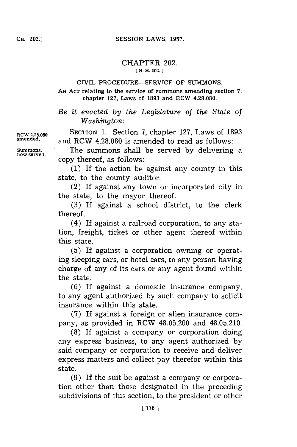## CHAPTER 202. **[ S. B. 102.**

## CIVIL PROCEDURE-SERVICE OF **SUMMONS.**

**AN ACT** relating to the service of summons amending section **7,** chapter **127,** Laws of **1893** and RCW **4.28.080.**

*Be it enacted by the Legislature of the State of Washington:*

**RCW 4.28.080** SECTION **1.** Section **7,** chapter **127,** Laws of **1893** and RCW 4.28.080 is amended to read as follows:

**Summons,** The summons shall be served **by** delivering a copy thereof, as follows:

> **(1)** If the action be against any county in this state, to the county auditor.

> (2) If against any town or incorporated city in the state, to the mayor thereof.

> **(3)** If against a school district, to the clerk thereof.'

> (4) If against a railroad corporation, to any station, freight, ticket or other agent thereof within this state.

> **(5)** If against a corporation owning or operating sleeping cars, or hotel cars, to any person having charge of any of its cars or any agent found within the state.

> **(6) If** against a domestic insurance company, to any agent authorized **by** such company to solicit insurance within this state.

> **(7)** If against a foreign or alien insurance company, as provided in RCW 48.05.200 and 48.05.210.

> **(8)** If against a company or corporation doing any express business, to any agent authorized **by** said company or corporation to receive and deliver express matters and collect pay therefor within this state.

> **(9)** If the suit be against a company or corporation other than those designated in the preceding subdivisions of this section, to the president or other

**how served.**